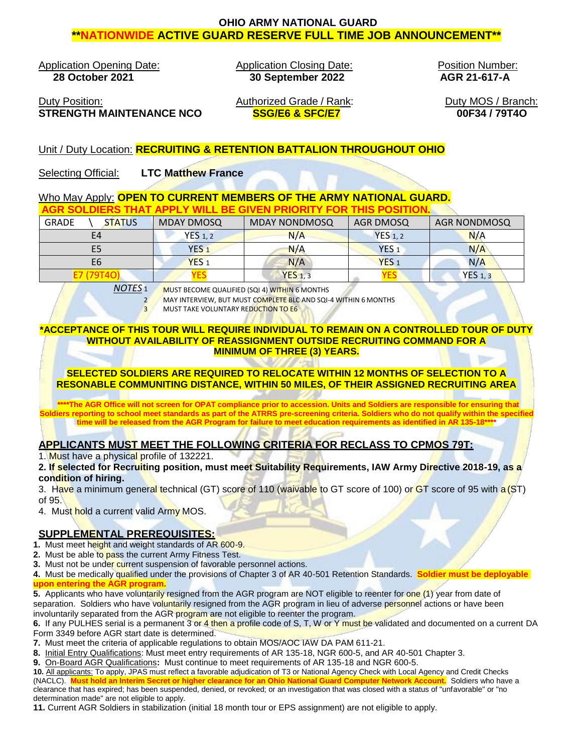# **OHIO ARMY NATIONAL GUARD \*\*NATIONWIDE ACTIVE GUARD RESERVE FULL TIME JOB ANNOUNCEMENT\*\***

Application Opening Date: Application Closing Date: **28 October 2021 30 September 2022**

Position Number: **AGR 21-617-A**

Duty Position: **Authorized Grade / Rank: STRENGTH MAINTENANCE NCO SSG/E6 & SFC/E7**

Duty MOS / Branch: **00F34 / 79T4O**

# Unit / Duty Location: **RECRUITING & RETENTION BATTALION THROUGHOUT OHIO**

Selecting Official: **LTC Matthew France**

## Who May Apply: **OPEN TO CURRENT MEMBERS OF THE ARMY NATIONAL GUARD. AGR SOLDIERS THAT APPLY WILL BE GIVEN PRIORITY FOR THIS POSITION.**

| <b>GRADE</b><br><b>STATUS</b> | <b>MDAY DMOSQ</b>  | <b>MDAY NONDMOSQ</b> | AGR DMOSQ        | <b>AGR NONDMOSQ</b> |
|-------------------------------|--------------------|----------------------|------------------|---------------------|
| E4                            | YES <sub>1,2</sub> | N/A                  | YES $1, 2$       | N/A                 |
| E5                            | YES <sub>1</sub>   | N/A                  | YES <sub>1</sub> | N/A                 |
| E6                            | YES <sub>1</sub>   | N/A                  | YES <sub>1</sub> | N/A                 |
|                               |                    | $YES_1, 3$           | 1 E.D            | <b>YES</b> 1, 3     |

*NOTES* 1 MUST BECOME QUALIFIED (SQI 4) WITHIN 6 MONTHS

2 MAY INTERVIEW, BUT MUST COMPLETE BLC AND SQI-4 WITHIN 6 MONTHS

**3 MUST TAKE VOLUNTARY REDUCTION TO E6** 

#### **\*ACCEPTANCE OF THIS TOUR WILL REQUIRE INDIVIDUAL TO REMAIN ON A CONTROLLED TOUR OF DUTY WITHOUT AVAILABILITY OF REASSIGNMENT OUTSIDE RECRUITING COMMAND FOR A MINIMUM OF THREE (3) YEARS.**

**SELECTED SOLDIERS ARE REQUIRED TO RELOCATE WITHIN 12 MONTHS OF SELECTION TO A RESONABLE COMMUNITING DISTANCE, WITHIN 50 MILES, OF THEIR ASSIGNED RECRUITING AREA**

**\*\*\*\*The AGR Office will not screen for OPAT compliance prior to accession. Units and Soldiers are responsible for ensuring that Soldiers reporting to school meet standards as part of the ATRRS pre-screening criteria. Soldiers who do not qualify within the specified time will be released from the AGR Program for failure to meet education requirements as identified in AR 135-18\*\*\*\***

# **APPLICANTS MUST MEET THE FOLLOWING CRITERIA FOR RECLASS TO CPMOS 79T:**

1. Must have a physical profile of 132221.

#### **2. If selected for Recruiting position, must meet Suitability Requirements, IAW Army Directive 2018-19, as a condition of hiring.**

3. Have a minimum general technical (GT) score of 110 (waivable to GT score of 100) or GT score of 95 with a (ST) of 95.

4. Must hold a current valid Army MOS.

## **SUPPLEMENTAL PREREQUISITES:**

**1.** Must meet height and weight standards of AR 600-9.

- **2.** Must be able to pass the current Army Fitness Test.
- **3.** Must not be under current suspension of favorable personnel actions.

**4.** Must be medically qualified under the provisions of Chapter 3 of AR 40-501 Retention Standards. **Soldier must be deployable upon entering the AGR program.**

**5.** Applicants who have voluntarily resigned from the AGR program are NOT eligible to reenter for one (1) year from date of separation. Soldiers who have voluntarily resigned from the AGR program in lieu of adverse personnel actions or have been involuntarily separated from the AGR program are not eligible to reenter the program.

**6.** If any PULHES serial is a permanent 3 or 4 then a profile code of S, T, W or Y must be validated and documented on a current DA Form 3349 before AGR start date is determined.

**7.** Must meet the criteria of applicable regulations to obtain MOS/AOC IAW DA PAM 611-21.

**8.** Initial Entry Qualifications: Must meet entry requirements of AR 135-18, NGR 600-5, and AR 40-501 Chapter 3.

**9.** On-Board AGR Qualifications**:** Must continue to meet requirements of AR 135-18 and NGR 600-5.

**10.** All applicants: To apply, JPAS must reflect a favorable adjudication of T3 or National Agency Check with Local Agency and Credit Checks (NACLC). **Must hold an Interim Secret or higher clearance for an Ohio National Guard Computer Network Account.** Soldiers who have a clearance that has expired; has been suspended, denied, or revoked; or an investigation that was closed with a status of "unfavorable" or "no determination made" are not eligible to apply.

**11.** Current AGR Soldiers in stabilization (initial 18 month tour or EPS assignment) are not eligible to apply.